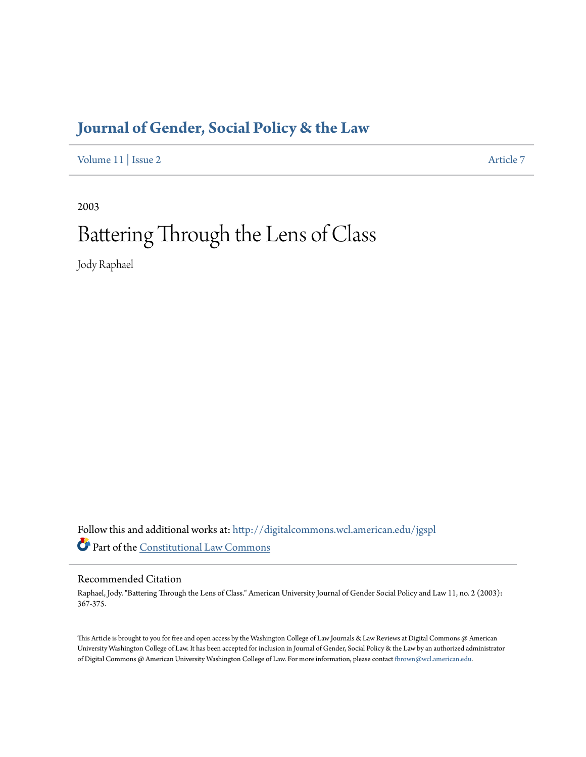# **[Journal of Gender, Social Policy & the Law](http://digitalcommons.wcl.american.edu/jgspl?utm_source=digitalcommons.wcl.american.edu%2Fjgspl%2Fvol11%2Fiss2%2F7&utm_medium=PDF&utm_campaign=PDFCoverPages)**

[Volume 11](http://digitalcommons.wcl.american.edu/jgspl/vol11?utm_source=digitalcommons.wcl.american.edu%2Fjgspl%2Fvol11%2Fiss2%2F7&utm_medium=PDF&utm_campaign=PDFCoverPages) | [Issue 2](http://digitalcommons.wcl.american.edu/jgspl/vol11/iss2?utm_source=digitalcommons.wcl.american.edu%2Fjgspl%2Fvol11%2Fiss2%2F7&utm_medium=PDF&utm_campaign=PDFCoverPages) [Article 7](http://digitalcommons.wcl.american.edu/jgspl/vol11/iss2/7?utm_source=digitalcommons.wcl.american.edu%2Fjgspl%2Fvol11%2Fiss2%2F7&utm_medium=PDF&utm_campaign=PDFCoverPages)

2003

# Battering Through the Lens of Class

Jody Raphael

Follow this and additional works at: [http://digitalcommons.wcl.american.edu/jgspl](http://digitalcommons.wcl.american.edu/jgspl?utm_source=digitalcommons.wcl.american.edu%2Fjgspl%2Fvol11%2Fiss2%2F7&utm_medium=PDF&utm_campaign=PDFCoverPages) Part of the [Constitutional Law Commons](http://network.bepress.com/hgg/discipline/589?utm_source=digitalcommons.wcl.american.edu%2Fjgspl%2Fvol11%2Fiss2%2F7&utm_medium=PDF&utm_campaign=PDFCoverPages)

## Recommended Citation

Raphael, Jody. "Battering Through the Lens of Class." American University Journal of Gender Social Policy and Law 11, no. 2 (2003): 367-375.

This Article is brought to you for free and open access by the Washington College of Law Journals & Law Reviews at Digital Commons @ American University Washington College of Law. It has been accepted for inclusion in Journal of Gender, Social Policy & the Law by an authorized administrator of Digital Commons @ American University Washington College of Law. For more information, please contact [fbrown@wcl.american.edu.](mailto:fbrown@wcl.american.edu)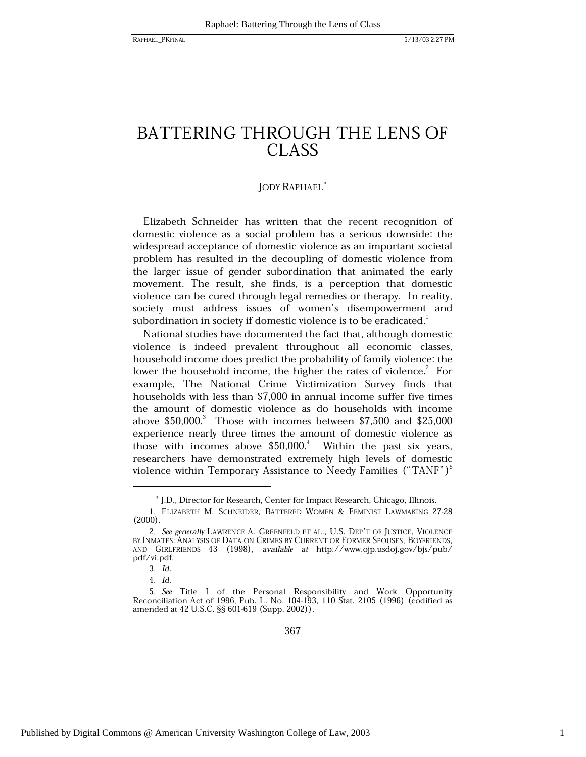## BATTERING THROUGH THE LENS OF **CLASS**

## **JODY RAPHAEL**\*

Elizabeth Schneider has written that the recent recognition of domestic violence as a social problem has a serious downside: the widespread acceptance of domestic violence as an important societal problem has resulted in the decoupling of domestic violence from the larger issue of gender subordination that animated the early movement. The result, she finds, is a perception that domestic violence can be cured through legal remedies or therapy. In reality, society must address issues of women's disempowerment and subordination in society if domestic violence is to be eradicated.<sup>1</sup>

National studies have documented the fact that, although domestic violence is indeed prevalent throughout all economic classes, household income does predict the probability of family violence: the lower the household income, the higher the rates of violence.<sup>2</sup> For example, The National Crime Victimization Survey finds that households with less than \$7,000 in annual income suffer five times the amount of domestic violence as do households with income above  $$50,000$ <sup>3</sup> Those with incomes between  $$7,500$  and  $$25,000$ experience nearly three times the amount of domestic violence as those with incomes above  $$50,000$ .<sup>4</sup> Within the past six years, researchers have demonstrated extremely high levels of domestic violence within Temporary Assistance to Needy Families ("TANF")<sup>3</sup>

<sup>\*</sup> J.D., Director for Research, Center for Impact Research, Chicago, Illinois.

<sup>1.</sup> Elizabeth M. Schneider, Battered Women & Feminist Lawmaking 27-28  $(2000).$ 

<sup>2.</sup> See generally LAWRENCE A. GREENFELD ET AL., U.S. DEP'T OF JUSTICE, VIOLENCE BY INMATES: ANALYSIS OF DATA ON CRIMES BY CURRENT OR FORMER SPOUSES, BOYFRIENDS, AND GIRLFRIENDS 43 (1998), available at http://www.ojp.usdoj.gov/bjs/pub/ pdf/vi.pdf.

<sup>3.</sup> Id.

<sup>4.</sup> Id.

<sup>5.</sup> See Title I of the Personal Responsibility and Work Opportunity Reconciliation Act of 1996, Pub. L. No. 104-193, 110 Stat. 2105 (1996) (codified as amended at 42 U.S.C. §§ 601-619 (Supp. 2002)).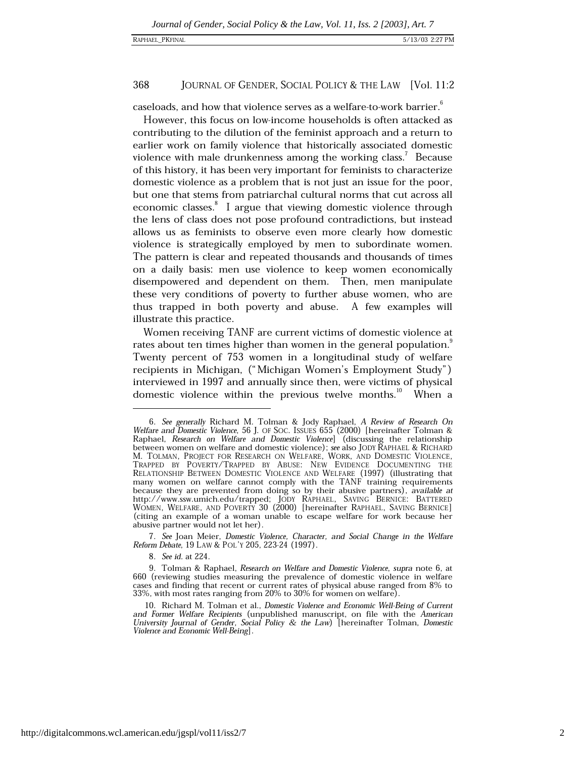## RAPHAEL\_PKFINAL

#### 368 JOURNAL OF GENDER, SOCIAL POLICY & THE LAW [Vol. 11:2

caseloads, and how that violence serves as a welfare-to-work barrier.

However, this focus on low-income households is often attacked as contributing to the dilution of the feminist approach and a return to earlier work on family violence that historically associated domestic violence with male drunkenness among the working class.<sup>7</sup> Because of this history, it has been very important for feminists to characterize domestic violence as a problem that is not just an issue for the poor, but one that stems from patriarchal cultural norms that cut across all economic classes.<sup>8</sup> I argue that viewing domestic violence through the lens of class does not pose profound contradictions, but instead allows us as feminists to observe even more clearly how domestic violence is strategically employed by men to subordinate women. The pattern is clear and repeated thousands and thousands of times on a daily basis: men use violence to keep women economically disempowered and dependent on them. Then, men manipulate these very conditions of poverty to further abuse women, who are thus trapped in both poverty and abuse. A few examples will illustrate this practice.

Women receiving TANF are current victims of domestic violence at rates about ten times higher than women in the general population. Twenty percent of 753 women in a longitudinal study of welfare recipients in Michigan, ("Michigan Women's Employment Study") interviewed in 1997 and annually since then, were victims of physical domestic violence within the previous twelve months.<sup>10</sup> When a

7. See Joan Meier, Domestic Violence, Character, and Social Change in the Welfare Reform Debate, 19 LAW & POL'Y 205, 223-24 (1997).

8. See id. at 224.

<sup>6.</sup> See generally Richard M. Tolman & Jody Raphael, A Review of Research On Welfare and Domestic Violence, 56 J. OF SOC. ISSUES 655 (2000) [hereinafter Tolman & Raphael, Research on Welfare and Domestic Violence] (discussing the relationship<br>between women on welfare and domestic violence); see also JODY RAPHAEL & RICHARD M. TOLMAN, PROJECT FOR RESEARCH ON WELFARE, WORK, AND DOMESTIC VIOLENCE, TRAPPED BY POVERTY/TRAPPED BY ABUSE: NEW EVIDENCE DOCUMENTING THE RELATIONSHIP BETWEEN DOMESTIC VIOLENCE AND WELFARE (1997) (illustrating that many women on welfare cannot comply with the TANF training requirements because they are prevented from doing so by their abusive partners), available at http://www.ssw.umich.edu/trapped; JODY RAPHAEL, SAVING BERNICE: BATTERED WOMEN, WELFARE, AND POVERTY 30 (2000) [hereinafter RAPHAEL, SAVING (citing an example of a woman unable to escape welfare for work because her abusive partner would not let her).

<sup>9.</sup> Tolman & Raphael, Research on Welfare and Domestic Violence, supra note 6, at 660 (reviewing studies measuring the prevalence of domestic violence in welfare cases and finding that recent or current rates of physical abuse ranged from 8% to 33%, with most rates ranging from 20% to 30% for women on welfare).

<sup>10.</sup> Richard M. Tolman et al., Domestic Violence and Economic Well-Being of Current and Former Welfare Recipients (unpublished manuscript, on file with the American University Journal of Gender, Social Policy & the Law) [hereinafter Tolman, Domestic Violence and Economic Well-Being].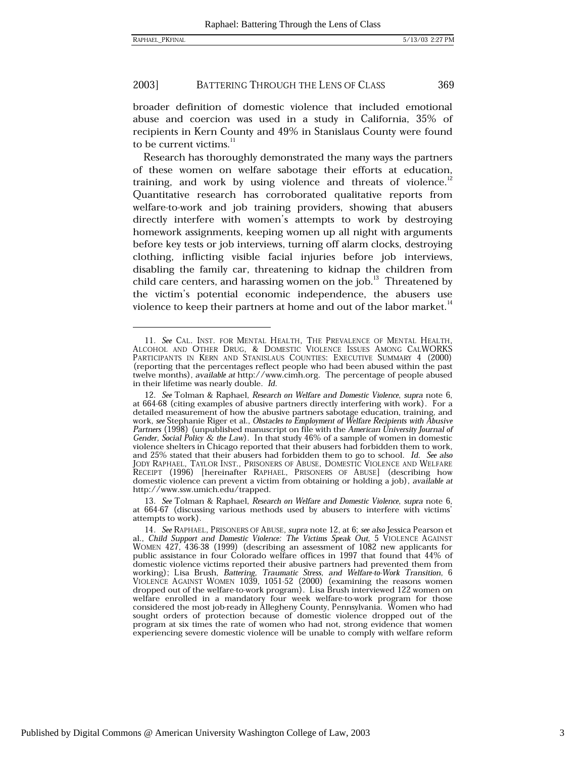369

#### 2003] BATTERING THROUGH THE LENS OF CLASS

broader definition of domestic violence that included emotional abuse and coercion was used in a study in California, 35% of recipients in Kern County and 49% in Stanislaus County were found to be current victims.<sup>11</sup>

Research has thoroughly demonstrated the many ways the partners of these women on welfare sabotage their efforts at education, training, and work by using violence and threats of violence.<sup>12</sup> Quantitative research has corroborated qualitative reports from welfare-to-work and job training providers, showing that abusers directly interfere with women's attempts to work by destroying homework assignments, keeping women up all night with arguments before key tests or job interviews, turning off alarm clocks, destroying clothing, inflicting visible facial injuries before job interviews, disabling the family car, threatening to kidnap the children from child care centers, and harassing women on the job.<sup>13</sup> Threatened by the victim's potential economic independence, the abusers use violence to keep their partners at home and out of the labor market.<sup>14</sup>

13. See Tolman & Raphael, Research on Welfare and Domestic Violence, supra note 6, at 664-67 (discussing various methods used by abusers to interfere with victims' attempts to work).

<sup>11.</sup> See CAL. INST. FOR MENTAL HEALTH, THE PREVALENCE OF MENTAL HEALTH, ALCOHOL AND OTHER DRUG, & DOMESTIC VIOLENCE ISSUES AMONG CALWORKS PARTICIPANTS IN KERN AND STANISLAUS COUNTIES: EXECUTIVE SUMMARY 4 (2000) (reporting that the percentages reflect people who had been abused within the past twelve months), available at http://www.cimh.org. The percentage of people abused in their lifetime was nearly double. Id.

<sup>12.</sup> See Tolman & Raphael, Research on Welfare and Domestic Violence, supra note 6, at 664-68 (citing examples of abusive partners directly interfering with work). For a detailed measurement of how the abusive partners sabotage education, training, and work, see Stephanie Riger et al., Obstacles to Employment of Welfare Recipients with Abusive Partners (1998) (unpublished manuscript on file with the American University Journal of Gender, Social Policy & the Law). In that study 46% of a sample of women in domestic violence shelters in Chicago reported that their abusers had forbidden them to work, and 25% stated that their abusers had forbidden them to go to school. Id. See also JODY RAPHAEL, TAYLOR INST., PRISONERS OF ABUSE, DOMESTIC VIOLENCE AND WELFARE RECEIPT (1996) [hereinafter RAPHAEL, PRISONERS OF ABUSE] (describing how domestic violence can prevent a victim from obtaining or holding a job), available at http://www.ssw.umich.edu/trapped.

<sup>14.</sup> See RAPHAEL, PRISONERS OF ABUSE, supra note 12, at 6; see also Jessica Pearson et al., Child Support and Domestic Violence: The Victims Speak Out, 5 VIOLENCE AGAINST WOMEN 427, 436-38 (1999) (describing an assessment of 1082 new applicants for public assistance in four Colorado welfare offices in 1997 that found that 44% of domestic violence victims reported their abusive partners had prevented them from working); Lisa Brush, *Battering*, *Traumatic Stress*, *and Welfare-to-Work Transition*, 6<br>VIOLENCE AGAINST WOMEN 1039, 1051-52 (2000) (examining the reasons women dropped out of the welfare-to-work program). Lisa Brush interviewed 122 women on welfare enrolled in a mandatory four week welfare-to-work program for those considered the most job-ready in Allegheny County, Pennsylvania. Women who had sought orders of protection because of domestic violence dropped out of the program at six times the rate of women who had not, strong evidence that women experiencing severe domestic violence will be unable to comply with welfare reform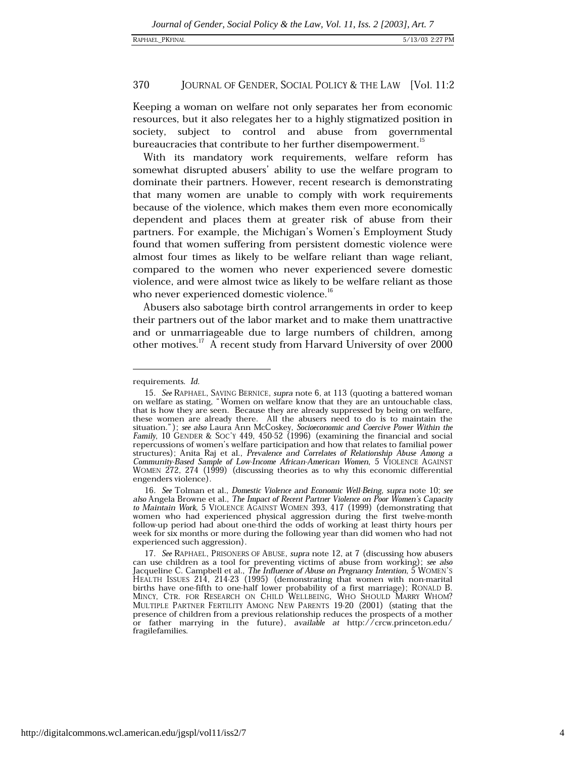#### 370 JOURNAL OF GENDER, SOCIAL POLICY & THE LAW [Vol. 11:2

Keeping a woman on welfare not only separates her from economic resources, but it also relegates her to a highly stigmatized position in society, subject to control and abuse from governmental bureaucracies that contribute to her further disempowerment.<sup>15</sup>

With its mandatory work requirements, welfare reform has somewhat disrupted abusers' ability to use the welfare program to dominate their partners. However, recent research is demonstrating that many women are unable to comply with work requirements because of the violence, which makes them even more economically dependent and places them at greater risk of abuse from their partners. For example, the Michigan's Women's Employment Study found that women suffering from persistent domestic violence were almost four times as likely to be welfare reliant than wage reliant, compared to the women who never experienced severe domestic violence, and were almost twice as likely to be welfare reliant as those who never experienced domestic violence.<sup>16</sup>

Abusers also sabotage birth control arrangements in order to keep their partners out of the labor market and to make them unattractive and or unmarriageable due to large numbers of children, among other motives.<sup>17</sup> A recent study from Harvard University of over 2000

requirements. Id.

<sup>15.</sup> See RAPHAEL, SAVING BERNICE, supra note 6, at 113 (quoting a battered woman on welfare as stating, "Women on welfare know that they are an untouchable class, that is how they are seen. Because they are already suppressed by being on welfare, these women are already there. All the abusers need to do is to maintain the situation."); *see also* Laura Ann McCoskey, *Socioeconomic and Coercive Power Within the* Family, 10 GENDER & Soc't 449, 450-52 (1996) (examining the financial and social repercussions of women's welfare participation and how that relates to familial power structures); Anita Raj et al., Prevalence and Correlates of Relationship Abuse Among a Community-Based Sample of Low-Income African-American Women, 5 VIOLENCE AGAINST WOMEN 272, 274 (1999) (discussing theories as to why this economic differential engenders violence).

<sup>16.</sup> See Tolman et al., Domestic Violence and Economic Well-Being, supra note 10; see also Angela Browne et al., The Impact of Recent Partner Violence on Poor Women's Capacity to Maintain Work, 5 VIOLENCE AGAINST WOMEN 393, 417 (1999) (demonstrating that women who had experienced physical aggression during the first twelve-month follow-up period had about one-third the odds of working at least thirty hours per week for six months or more during the following year than did women who had not experienced such aggression).

<sup>17.</sup> See RAPHAEL, PRISONERS OF ABUSE, supra note 12, at 7 (discussing how abusers can use children as a tool for preventing victims of abuse from working); see also Jacqueline C. Campbell et al., *The Influence of Abuse on Pregnancy Intention*, 5 WOMEN'S<br>HEALTH ISSUES 214, 214-23 (1995) (demonstrating that women with non-marital births have one-fifth to one-half lower probability of a first marriage); RONALD B.<br>MINCY, CTR. FOR RESEARCH ON CHILD WELLBEING, WHO SHOULD MARRY WHOM? MULTIPLE PARTNER FERTILITY AMONG NEW PARENTS 19-20 (2001) (stating that the presence of children from a previous relationship reduces the prospects of a mother or father marrying in the future), available at  $http://crcw.princeton.edu/$ fragilefamilies.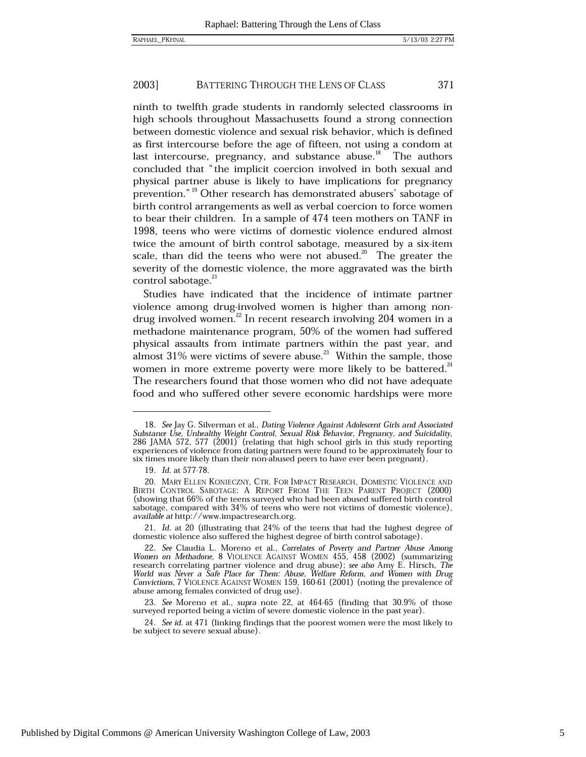#### 2003] BATTERING THROUGH THE LENS OF CLASS 371

ninth to twelfth grade students in randomly selected classrooms in high schools throughout Massachusetts found a strong connection between domestic violence and sexual risk behavior, which is defined as first intercourse before the age of fifteen, not using a condom at last intercourse, pregnancy, and substance abuse.<sup>18</sup> The authors concluded that "the implicit coercion involved in both sexual and physical partner abuse is likely to have implications for pregnancy prevention."<sup>19</sup> Other research has demonstrated abusers' sabotage of birth control arrangements as well as verbal coercion to force women to bear their children. In a sample of 474 teen mothers on TANF in 1998, teens who were victims of domestic violence endured almost twice the amount of birth control sabotage, measured by a six-item scale, than did the teens who were not abused.<sup>20</sup> The greater the severity of the domestic violence, the more aggravated was the birth control sabotage.<sup>21</sup>

Studies have indicated that the incidence of intimate partner violence among drug-involved women is higher than among nondrug involved women. $^{22}$  In recent research involving 204 women in a methadone maintenance program, 50% of the women had suffered physical assaults from intimate partners within the past year, and almost  $31\%$  were victims of severe abuse.<sup>23</sup> Within the sample, those women in more extreme poverty were more likely to be battered.<sup>24</sup> The researchers found that those women who did not have adequate food and who suffered other severe economic hardships were more

<sup>18.</sup> See Jay G. Silverman et al., Dating Violence Against Adolescent Girls and Associated Substance Use, Unhealthy Weight Control, Sexual Risk Behavior, Pregnancy, and Suicidality, 286 JAMA 572, 577 (2001) (relating that hi experiences of violence from dating partners were found to be approximately four to six times more likely than their non-abused peers to have ever been pregnant).

<sup>19.</sup> *Id.* at 577-78.

<sup>20.</sup> MARY ELLEN KONIECZNY, CTR. FOR IMPACT RESEARCH, DOMESTIC VIOLENCE AND BIRTH CONTROL SABOTAGE: A REPORT FROM THE TEEN PARENT PROJECT (2000) (showing that 66% of the teens surveyed who had been abused suffered birth control sabotage, compared with 34% of teens who were not victims of domestic violence), available at http://www.impactresearch.org.

<sup>21.</sup> Id. at 20 (illustrating that 24% of the teens that had the highest degree of domestic violence also suffered the highest degree of birth control sabotage).

<sup>22.</sup> See Claudia L. Moreno et al., Correlates of Poverty and Partner Abuse Among Women on Methadone, 8 VIOLENCE AGAINST WOMEN 455, 458 (2002) (summarizing From The Theorem Contract Technical Contract Tessarch correlating partner violence and drug abuse); see also Amy E. Hirsch, The World was Never a Safe Place for Them: Abuse, Welfare Reform, and Women with Drug Convictions, abuse among females convicted of drug use).

<sup>23.</sup> See Moreno et al., supra note 22, at 464-65 (finding that 30.9% of those surveyed reported being a victim of severe domestic violence in the past year).

<sup>24.</sup> See id. at 471 (linking findings that the poorest women were the most likely to be subject to severe sexual abuse).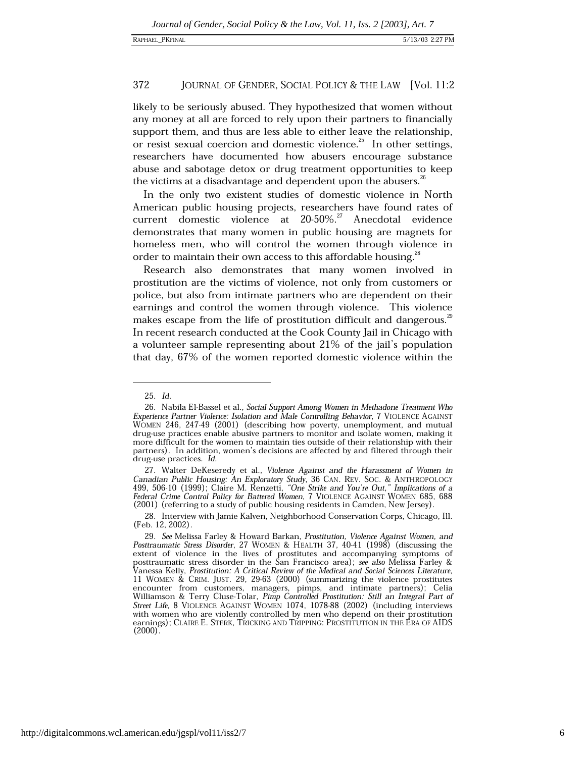## RAPHAEL\_PKFINAL

#### 372 JOURNAL OF GENDER, SOCIAL POLICY & THE LAW [Vol. 11:2

likely to be seriously abused. They hypothesized that women without any money at all are forced to rely upon their partners to financially support them, and thus are less able to either leave the relationship, or resist sexual coercion and domestic violence.<sup>25</sup> In other settings, researchers have documented how abusers encourage substance abuse and sabotage detox or drug treatment opportunities to keep the victims at a disadvantage and dependent upon the abusers.<sup>2</sup>

In the only two existent studies of domestic violence in North American public housing projects, researchers have found rates of current domestic violence at 20-50%.<sup>27</sup> Anecdotal evidence demonstrates that many women in public housing are magnets for homeless men, who will control the women through violence in order to maintain their own access to this affordable housing.<sup>28</sup>

Research also demonstrates that many women involved in prostitution are the victims of violence, not only from customers or police, but also from intimate partners who are dependent on their earnings and control the women through violence. This violence makes escape from the life of prostitution difficult and dangerous.<sup>29</sup> In recent research conducted at the Cook County Jail in Chicago with a volunteer sample representing about 21% of the jail's population that day, 67% of the women reported domestic violence within the

<sup>25.</sup> Id.

<sup>26.</sup> Nabila El-Bassel et al., Social Support Among Women in Methadone Treatment Who Experience Partner Violence: Isolation and Male Controlling Behavior, 7 VIOLENCE AGAINST WOMEN 246, 247-49 (2001) (describing how poverty, unemployment, and mutual drug-use practices enable abusive partners to monitor and isolate women, making it more difficult for the women to maintain ties outside of their relationship with their partners). In addition, women's decisions are affected by and filtered through their drug-use practices. Id.

<sup>27.</sup> Walter DeKeseredy et al., Violence Against and the Harassment of Women in Canadian Public Housing: An Exploratory Study, 36 CAN. REV. SOC. & ANTHROPOLOGY 499, 506-10 (1999); Claire M. Renzetti, "One Strike and You're Out," Implications of a Federal Crime Control Policy for Battered Women, 7 VIOLENCE AGAINST WOMEN 685, 688 (2001) (referring to a study of public housing residents in Camden, New Jersey).

<sup>28.</sup> Interview with Jamie Kalven, Neighborhood Conservation Corps, Chicago, Ill. (Feb. 12, 2002).

<sup>29.</sup> See Melissa Farley & Howard Barkan, Prostitution, Violence Against Women, and Posttraumatic Stress Disorder, 27 WOMEN & HEALTH 37, 40-41 (1998) (discussing the extent of violence in the lives of prostitutes and accompanying symptoms of posttraumatic stress disorder in the San Francisco area); see also Melissa Farley & Vanessa Kelly, Prostitution: A Critical Review of the Medical and Social Sciences Literature, 11 WOMEN & CRIM. JUST. 29, 29-63 (2000) (summarizing the violence prostitutes encounter from customers, managers, pimps, and intimate partners); Celia<br>Williamson & Terry Cluse-Tolar, Pimp Controlled Prostitution: Still an Integral Part of Street Life, 8 VIOLENCE AGAINST WOMEN 1074, 1078-88 (2002) (including interviews with women who are violently controlled by men who depend on their prostitution earnings); CLAIRE E. STERK, TRICKING AND TRIPPING: PROSTITUTION IN THE ERA OF AIDS  $(2000)$ .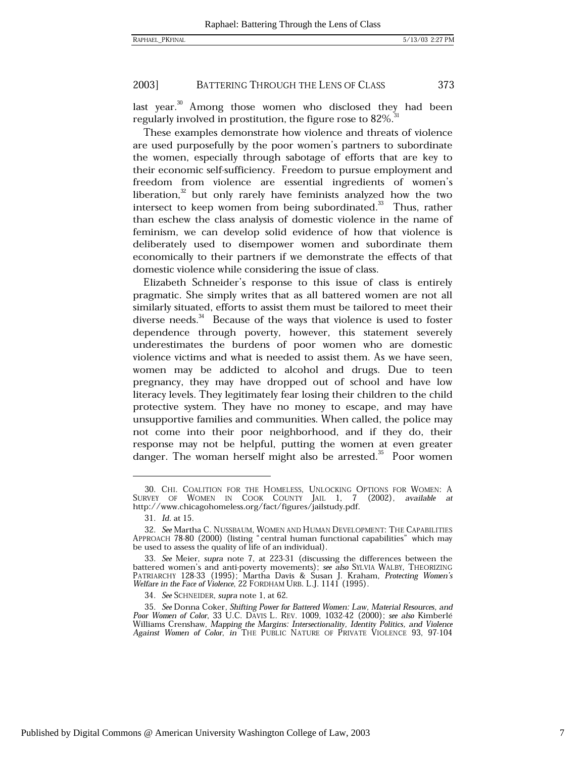#### 2003] BATTERING THROUGH THE LENS OF CLASS 373

last year.<sup>30</sup> Among those women who disclosed they had been regularly involved in prostitution, the figure rose to 82%.<sup>31</sup>

These examples demonstrate how violence and threats of violence are used purposefully by the poor women's partners to subordinate the women, especially through sabotage of efforts that are key to their economic self-sufficiency. Freedom to pursue employment and freedom from violence are essential ingredients of women's liberation, $32$  but only rarely have feminists analyzed how the two intersect to keep women from being subordinated.<sup>33</sup> Thus, rather than eschew the class analysis of domestic violence in the name of feminism, we can develop solid evidence of how that violence is deliberately used to disempower women and subordinate them economically to their partners if we demonstrate the effects of that domestic violence while considering the issue of class.

Elizabeth Schneider's response to this issue of class is entirely pragmatic. She simply writes that as all battered women are not all similarly situated, efforts to assist them must be tailored to meet their diverse needs.<sup>34</sup> Because of the ways that violence is used to foster dependence through poverty, however, this statement severely underestimates the burdens of poor women who are domestic violence victims and what is needed to assist them. As we have seen, women may be addicted to alcohol and drugs. Due to teen pregnancy, they may have dropped out of school and have low literacy levels. They legitimately fear losing their children to the child protective system. They have no money to escape, and may have unsupportive families and communities. When called, the police may not come into their poor neighborhood, and if they do, their response may not be helpful, putting the women at even greater danger. The woman herself might also be arrested.<sup>35</sup> Poor women

<sup>30.</sup> CHI. COALITION FOR THE HOMELESS, UNLOCKING OPTIONS FOR WOMEN: A SURVEY OF WOMEN IN COOK COUNTY JAIL 1, 7 (2002), available at  $(2002)$ , available at http://www.chicagohomeless.org/fact/figures/jailstudy.pdf.

<sup>31.</sup> *Id.* at 15.

<sup>32.</sup> See Martha C. NUSSBAUM, WOMEN AND HUMAN DEVELOPMENT: THE CAPABILITIES APPROACH 78-80 (2000) (listing "central human functional capabilities" which may be used to assess the quality of life of an individual).

<sup>33.</sup> See Meier, supra note 7, at 223-31 (discussing the differences between the battered women's and anti-poverty movements); see also SYLVIA WALBY, THEORIZING PATRIARCHY 128-33 (1995); Martha Davis & Susan J. Kraham, Protecting Women's Welfare in the Face of Violence, 22 FORDHAM URB. L.J. 1141 (1995).

<sup>34.</sup> See SCHNEIDER, supra note 1, at 62.

<sup>35.</sup> See Donna Coker, Shifting Power for Battered Women: Law, Material Resources, and Poor Women of Color, 33 U.C. DAVIS L. REV. 1009, 1032-42 (2000); see also Kimberlé Williams Crenshaw, Mapping the Margins: Intersectionality, Identity Politics, and Violence Against Women of Color, in THE PUBLIC NATURE OF PRIVATE VIOLENCE 93, 97-104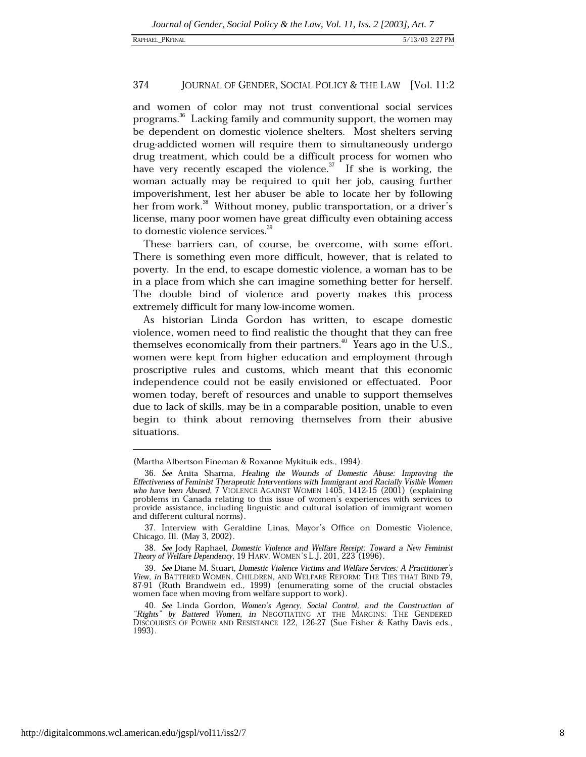#### 374 JOURNAL OF GENDER, SOCIAL POLICY & THE LAW [Vol. 11:2

and women of color may not trust conventional social services programs.<sup>36</sup> Lacking family and community support, the women may be dependent on domestic violence shelters. Most shelters serving drug-addicted women will require them to simultaneously undergo drug treatment, which could be a difficult process for women who have very recently escaped the violence.<sup>37</sup> If she is working, the woman actually may be required to quit her job, causing further impoverishment, lest her abuser be able to locate her by following her from work.<sup>38</sup> Without money, public transportation, or a driver's license, many poor women have great difficulty even obtaining access to domestic violence services.<sup>39</sup>

These barriers can, of course, be overcome, with some effort. There is something even more difficult, however, that is related to poverty. In the end, to escape domestic violence, a woman has to be in a place from which she can imagine something better for herself. The double bind of violence and poverty makes this process extremely difficult for many low-income women.

As historian Linda Gordon has written, to escape domestic violence, women need to find realistic the thought that they can free themselves economically from their partners.<sup>40</sup> Years ago in the U.S., women were kept from higher education and employment through proscriptive rules and customs, which meant that this economic independence could not be easily envisioned or effectuated. Poor women today, bereft of resources and unable to support themselves due to lack of skills, may be in a comparable position, unable to even begin to think about removing themselves from their abusive situations.

<sup>(</sup>Martha Albertson Fineman & Roxanne Mykituik eds., 1994).

<sup>36.</sup> See Anita Sharma, Healing the Wounds of Domestic Abuse: Improving the Effectiveness of Feminist Therapeutic Interventions with Immigrant and Racially Visible Women who have been Abused, 7 VIOLENCE AGAINST WOMEN 1405, 1412-15 (2001) (explaining problems in Canada relating to this issue of women's experiences with services to provide assistance, including linguistic and cultural isolation of immigrant women and different cultural norms).

<sup>37.</sup> Interview with Geraldine Linas, Mayor's Office on Domestic Violence, Chicago, Ill. (May 3, 2002).

<sup>38.</sup> See Jody Raphael, Domestic Violence and Welfare Receipt: Toward a New Feminist Theory of Welfare Dependency, 19 HARV. WOMEN'S L.J. 201, 223 (1996).

<sup>39.</sup> See Diane M. Stuart, Domestic Violence Victims and Welfare Services: A Practitioner's View, in BATTERED WOMEN, CHILDREN, AND WELFARE REFORM: THE TIES THAT BIND 79, 87-91 (Ruth Brandwein ed., 1999) (enumerating some of the crucial obstacles women face when moving from welfare support to work).

<sup>40.</sup> See Linda Gordon, Women's Agency, Social Control, and the Construction of "Rights" by Battered Women, in NEGOTIATING AT THE MARGINS: THE GENDERED DISCOURSES OF POWER AND RESISTANCE 122, 126-27 (Sue Fisher & Kathy Davis eds., 1993).